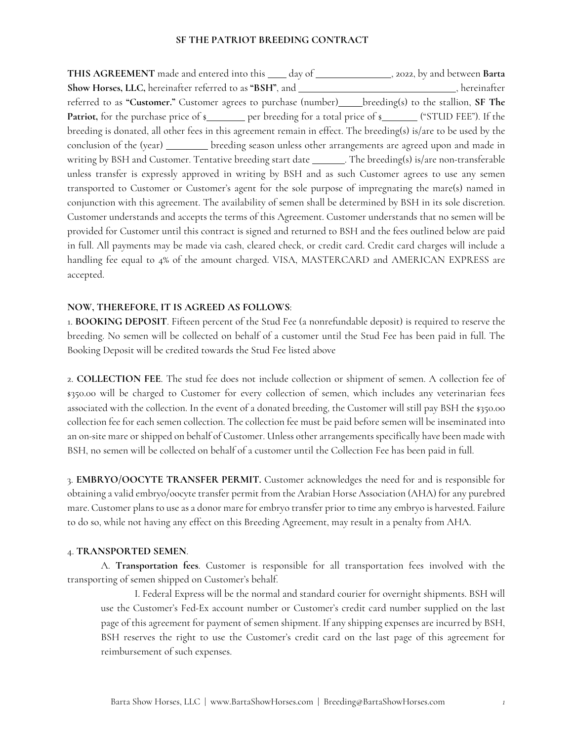THIS AGREEMENT made and entered into this \_\_\_\_ day of \_\_\_\_\_\_\_\_\_\_\_\_\_\_\_, 2022, by and between Barta **Show Horses, LLC,** hereinafter referred to as "BSH", and , hereinafter , hereinafter referred to as "Customer." Customer agrees to purchase (number)\_\_\_\_\_breeding(s) to the stallion, SF The **Patriot,** for the purchase price of \$ breeding is donated, all other fees in this agreement remain in effect. The breeding(s) is/are to be used by the conclusion of the (year) \_\_\_\_\_\_\_\_\_ breeding season unless other arrangements are agreed upon and made in writing by BSH and Customer. Tentative breeding start date \_\_\_\_\_\_\_. The breeding(s) is/are non-transferable unless transfer is expressly approved in writing by BSH and as such Customer agrees to use any semen transported to Customer or Customer's agent for the sole purpose of impregnating the mare(s) named in conjunction with this agreement. The availability of semen shall be determined by BSH in its sole discretion. Customer understands and accepts the terms of this Agreement. Customer understands that no semen will be provided for Customer until this contract is signed and returned to BSH and the fees outlined below are paid in full. All payments may be made via cash, cleared check, or credit card. Credit card charges will include a handling fee equal to 4% of the amount charged. VISA, MASTERCARD and AMERICAN EXPRESS are accepted.

## **NOW, THEREFORE, IT IS AGREED AS FOLLOWS**:

1. **BOOKING DEPOSIT**. Fifteen percent of the Stud Fee (a nonrefundable deposit) is required to reserve the breeding. No semen will be collected on behalf of a customer until the Stud Fee has been paid in full. The Booking Deposit will be credited towards the Stud Fee listed above

2. **COLLECTION FEE**. The stud fee does not include collection or shipment of semen. A collection fee of \$350.00 will be charged to Customer for every collection of semen, which includes any veterinarian fees associated with the collection. In the event of a donated breeding, the Customer will still pay BSH the \$350.00 collection fee for each semen collection. The collection fee must be paid before semen will be inseminated into an on-site mare or shipped on behalf of Customer. Unless other arrangements specifically have been made with BSH, no semen will be collected on behalf of a customer until the Collection Fee has been paid in full.

3. **EMBRYO/OOCYTE TRANSFER PERMIT.** Customer acknowledges the need for and is responsible for obtaining a valid embryo/oocyte transfer permit from the Arabian Horse Association (AHA) for any purebred mare. Customer plans to use as a donor mare for embryo transfer prior to time any embryo is harvested. Failure to do so, while not having any effect on this Breeding Agreement, may result in a penalty from AHA.

#### 4. **TRANSPORTED SEMEN**.

A. **Transportation fees**. Customer is responsible for all transportation fees involved with the transporting of semen shipped on Customer's behalf.

I. Federal Express will be the normal and standard courier for overnight shipments. BSH will use the Customer's Fed-Ex account number or Customer's credit card number supplied on the last page of this agreement for payment of semen shipment. If any shipping expenses are incurred by BSH, BSH reserves the right to use the Customer's credit card on the last page of this agreement for reimbursement of such expenses.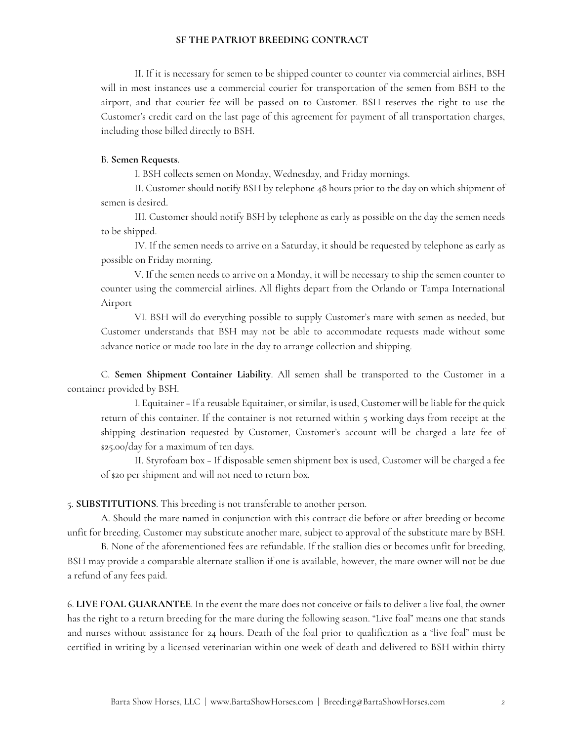II. If it is necessary for semen to be shipped counter to counter via commercial airlines, BSH will in most instances use a commercial courier for transportation of the semen from BSH to the airport, and that courier fee will be passed on to Customer. BSH reserves the right to use the Customer's credit card on the last page of this agreement for payment of all transportation charges, including those billed directly to BSH.

#### B. **Semen Requests**.

I. BSH collects semen on Monday, Wednesday, and Friday mornings.

II. Customer should notify BSH by telephone 48 hours prior to the day on which shipment of semen is desired.

III. Customer should notify BSH by telephone as early as possible on the day the semen needs to be shipped.

IV. If the semen needs to arrive on a Saturday, it should be requested by telephone as early as possible on Friday morning.

V. If the semen needs to arrive on a Monday, it will be necessary to ship the semen counter to counter using the commercial airlines. All flights depart from the Orlando or Tampa International Airport

VI. BSH will do everything possible to supply Customer's mare with semen as needed, but Customer understands that BSH may not be able to accommodate requests made without some advance notice or made too late in the day to arrange collection and shipping.

C. **Semen Shipment Container Liability**. All semen shall be transported to the Customer in a container provided by BSH.

I. Equitainer –If a reusable Equitainer, or similar, is used, Customer will be liable for the quick return of this container. If the container is not returned within 5 working days from receipt at the shipping destination requested by Customer, Customer's account will be charged a late fee of \$25.00/day for a maximum of ten days.

II. Styrofoam box – If disposable semen shipment box is used, Customer will be charged a fee of \$20 per shipment and will not need to return box.

5. **SUBSTITUTIONS**. This breeding is not transferable to another person.

A. Should the mare named in conjunction with this contract die before or after breeding or become unfit for breeding, Customer may substitute another mare, subject to approval of the substitute mare by BSH.

B. None of the aforementioned fees are refundable. If the stallion dies or becomes unfit for breeding, BSH may provide a comparable alternate stallion if one is available, however, the mare owner will not be due a refund of any fees paid.

6. **LIVE FOAL GUARANTEE**. In the event the mare does not conceive or fails to deliver a live foal, the owner has the right to a return breeding for the mare during the following season. "Live foal" means one that stands and nurses without assistance for 24 hours. Death of the foal prior to qualification as a "live foal" must be certified in writing by a licensed veterinarian within one week of death and delivered to BSH within thirty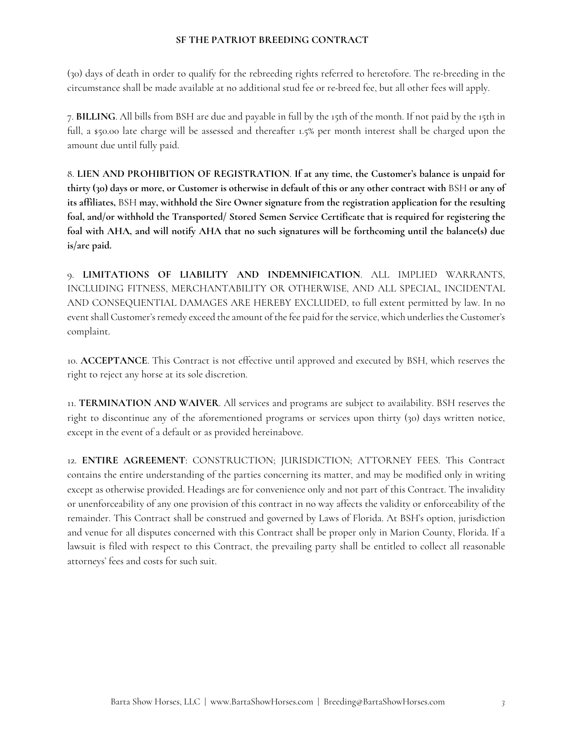(30) days of death in order to qualify for the rebreeding rights referred to heretofore. The re-breeding in the circumstance shall be made available at no additional stud fee or re-breed fee, but all other fees will apply.

7. **BILLING**. All bills from BSH are due and payable in full by the 15th of the month. If not paid by the 15th in full, a \$50.00 late charge will be assessed and thereafter 1.5% per month interest shall be charged upon the amount due until fully paid.

8. **LIEN AND PROHIBITION OF REGISTRATION**. **If at any time, the Customer's balance is unpaid for thirty (30) days or more, or Customer is otherwise in default of this or any other contract with** BSH **or any of its affiliates,** BSH **may, withhold the Sire Owner signature from the registration application for the resulting foal, and/or withhold the Transported/ Stored Semen Service Certificate that is required for registering the foal with AHA, and will notify AHA that no such signatures will be forthcoming until the balance(s) due is/are paid.** 

9. **LIMITATIONS OF LIABILITY AND INDEMNIFICATION**. ALL IMPLIED WARRANTS, INCLUDING FITNESS, MERCHANTABILITY OR OTHERWISE, AND ALL SPECIAL, INCIDENTAL AND CONSEQUENTIAL DAMAGES ARE HEREBY EXCLUDED, to full extent permitted by law. In no event shall Customer's remedy exceed the amount of the fee paid for the service, which underlies the Customer's complaint.

10. **ACCEPTANCE**. This Contract is not effective until approved and executed by BSH, which reserves the right to reject any horse at its sole discretion.

11. **TERMINATION AND WAIVER**. All services and programs are subject to availability. BSH reserves the right to discontinue any of the aforementioned programs or services upon thirty (30) days written notice, except in the event of a default or as provided hereinabove.

12. **ENTIRE AGREEMENT**: CONSTRUCTION; JURISDICTION; ATTORNEY FEES. This Contract contains the entire understanding of the parties concerning its matter, and may be modified only in writing except as otherwise provided. Headings are for convenience only and not part of this Contract. The invalidity or unenforceability of any one provision of this contract in no way affects the validity or enforceability of the remainder. This Contract shall be construed and governed by Laws of Florida. At BSH's option, jurisdiction and venue for all disputes concerned with this Contract shall be proper only in Marion County, Florida. If a lawsuit is filed with respect to this Contract, the prevailing party shall be entitled to collect all reasonable attorneys' fees and costs for such suit.